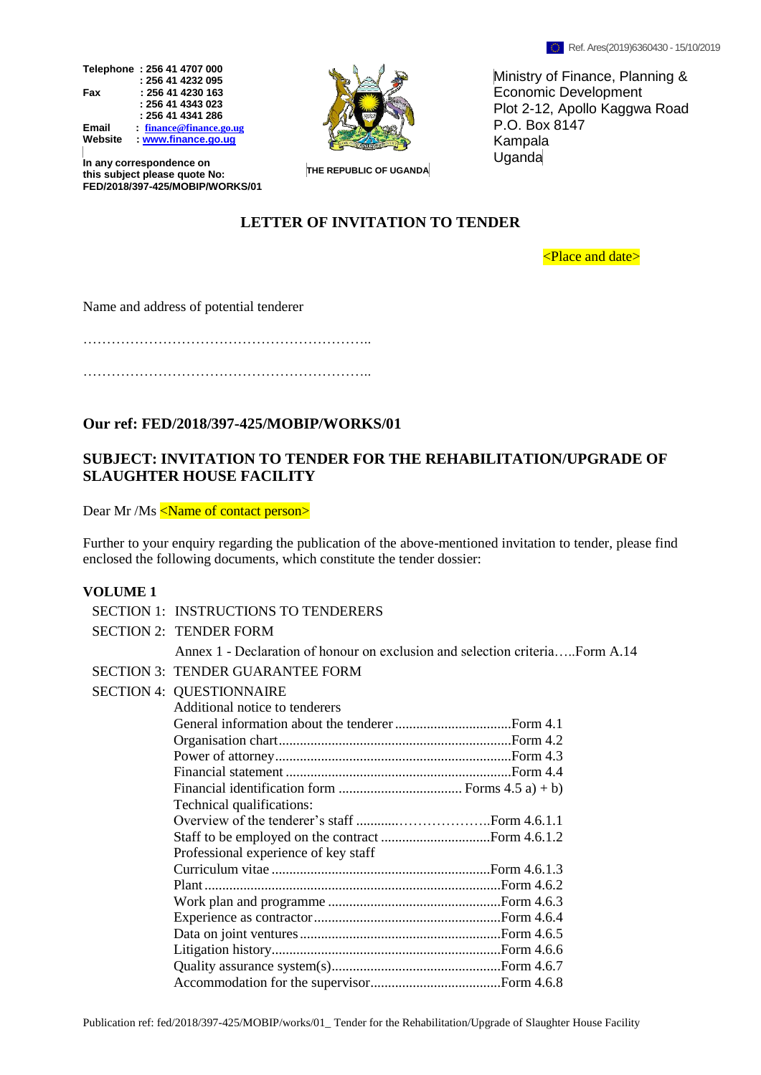



Ministry of Finance, Planning & Economic Development Plot 2-12, Apollo Kaggwa Road P.O. Box 8147 Kampala Uganda

**In any correspondence on this subject please quote No: FED/2018/397-425/MOBIP/WORKS/01**

**THE REPUBLIC OF UGANDA**

# **LETTER OF INVITATION TO TENDER**

<Place and date>

Name and address of potential tenderer

……………………………………………………..

……………………………………………………..

# **Our ref: FED/2018/397-425/MOBIP/WORKS/01**

# **SUBJECT: INVITATION TO TENDER FOR THE REHABILITATION/UPGRADE OF SLAUGHTER HOUSE FACILITY**

Dear Mr /Ms <Name of contact person>

Further to your enquiry regarding the publication of the above-mentioned invitation to tender, please find enclosed the following documents, which constitute the tender dossier:

#### **VOLUME 1**

| <b>SECTION 1: INSTRUCTIONS TO TENDERERS</b>                                  |
|------------------------------------------------------------------------------|
| <b>SECTION 2: TENDER FORM</b>                                                |
| Annex 1 - Declaration of honour on exclusion and selection criteriaForm A.14 |
| <b>SECTION 3: TENDER GUARANTEE FORM</b>                                      |
| <b>SECTION 4: QUESTIONNAIRE</b>                                              |
| Additional notice to tenderers                                               |
|                                                                              |
|                                                                              |
|                                                                              |
|                                                                              |
|                                                                              |
| Technical qualifications:                                                    |
|                                                                              |
|                                                                              |
| Professional experience of key staff                                         |
|                                                                              |
|                                                                              |
|                                                                              |
|                                                                              |
|                                                                              |
|                                                                              |
|                                                                              |
|                                                                              |